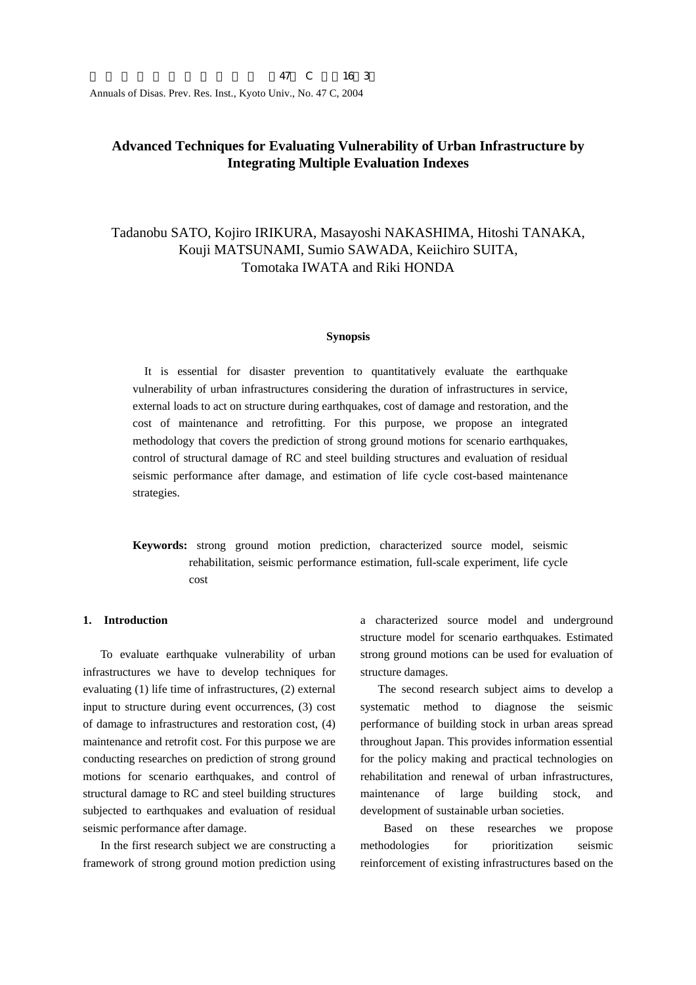# **Advanced Techniques for Evaluating Vulnerability of Urban Infrastructure by Integrating Multiple Evaluation Indexes**

# Tadanobu SATO, Kojiro IRIKURA, Masayoshi NAKASHIMA, Hitoshi TANAKA, Kouji MATSUNAMI, Sumio SAWADA, Keiichiro SUITA, Tomotaka IWATA and Riki HONDA

#### **Synopsis**

It is essential for disaster prevention to quantitatively evaluate the earthquake vulnerability of urban infrastructures considering the duration of infrastructures in service, external loads to act on structure during earthquakes, cost of damage and restoration, and the cost of maintenance and retrofitting. For this purpose, we propose an integrated methodology that covers the prediction of strong ground motions for scenario earthquakes, control of structural damage of RC and steel building structures and evaluation of residual seismic performance after damage, and estimation of life cycle cost-based maintenance strategies.

**Keywords:** strong ground motion prediction, characterized source model, seismic rehabilitation, seismic performance estimation, full-scale experiment, life cycle cost

### **1. Introduction**

To evaluate earthquake vulnerability of urban infrastructures we have to develop techniques for evaluating (1) life time of infrastructures, (2) external input to structure during event occurrences, (3) cost of damage to infrastructures and restoration cost, (4) maintenance and retrofit cost. For this purpose we are conducting researches on prediction of strong ground motions for scenario earthquakes, and control of structural damage to RC and steel building structures subjected to earthquakes and evaluation of residual seismic performance after damage.

In the first research subject we are constructing a framework of strong ground motion prediction using

a characterized source model and underground structure model for scenario earthquakes. Estimated strong ground motions can be used for evaluation of structure damages.

The second research subject aims to develop a systematic method to diagnose the seismic performance of building stock in urban areas spread throughout Japan. This provides information essential for the policy making and practical technologies on rehabilitation and renewal of urban infrastructures, maintenance of large building stock, and development of sustainable urban societies.

Based on these researches we propose methodologies for prioritization seismic reinforcement of existing infrastructures based on the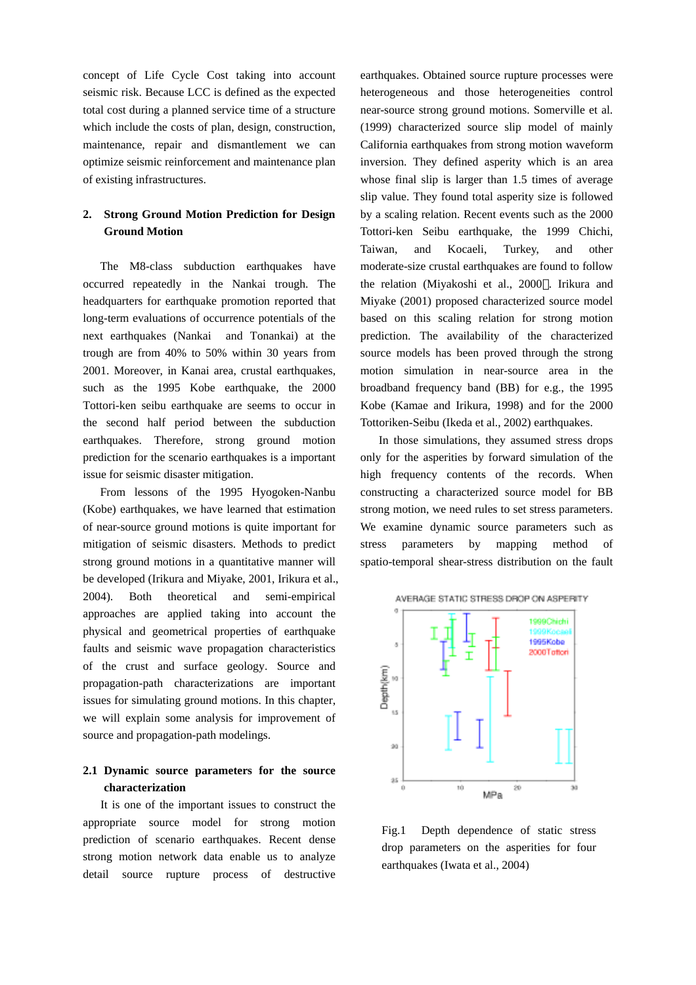concept of Life Cycle Cost taking into account seismic risk. Because LCC is defined as the expected total cost during a planned service time of a structure which include the costs of plan, design, construction, maintenance, repair and dismantlement we can optimize seismic reinforcement and maintenance plan of existing infrastructures.

# **2. Strong Ground Motion Prediction for Design Ground Motion**

The M8-class subduction earthquakes have occurred repeatedly in the Nankai trough. The headquarters for earthquake promotion reported that long-term evaluations of occurrence potentials of the next earthquakes (Nankai and Tonankai) at the trough are from 40% to 50% within 30 years from 2001. Moreover, in Kanai area, crustal earthquakes, such as the 1995 Kobe earthquake, the 2000 Tottori-ken seibu earthquake are seems to occur in the second half period between the subduction earthquakes. Therefore, strong ground motion prediction for the scenario earthquakes is a important issue for seismic disaster mitigation.

From lessons of the 1995 Hyogoken-Nanbu (Kobe) earthquakes, we have learned that estimation of near-source ground motions is quite important for mitigation of seismic disasters. Methods to predict strong ground motions in a quantitative manner will be developed (Irikura and Miyake, 2001, Irikura et al., 2004). Both theoretical and semi-empirical approaches are applied taking into account the physical and geometrical properties of earthquake faults and seismic wave propagation characteristics of the crust and surface geology. Source and propagation-path characterizations are important issues for simulating ground motions. In this chapter, we will explain some analysis for improvement of source and propagation-path modelings.

# **2.1 Dynamic source parameters for the source characterization**

It is one of the important issues to construct the appropriate source model for strong motion prediction of scenario earthquakes. Recent dense strong motion network data enable us to analyze detail source rupture process of destructive

earthquakes. Obtained source rupture processes were heterogeneous and those heterogeneities control near-source strong ground motions. Somerville et al. (1999) characterized source slip model of mainly California earthquakes from strong motion waveform inversion. They defined asperity which is an area whose final slip is larger than 1.5 times of average slip value. They found total asperity size is followed by a scaling relation. Recent events such as the 2000 Tottori-ken Seibu earthquake, the 1999 Chichi, Taiwan, and Kocaeli, Turkey, and other moderate-size crustal earthquakes are found to follow the relation (Miyakoshi et al., 2000 . Irikura and Miyake (2001) proposed characterized source model based on this scaling relation for strong motion prediction. The availability of the characterized source models has been proved through the strong motion simulation in near-source area in the broadband frequency band (BB) for e.g., the 1995 Kobe (Kamae and Irikura, 1998) and for the 2000 Tottoriken-Seibu (Ikeda et al., 2002) earthquakes.

In those simulations, they assumed stress drops only for the asperities by forward simulation of the high frequency contents of the records. When constructing a characterized source model for BB strong motion, we need rules to set stress parameters. We examine dynamic source parameters such as stress parameters by mapping method of spatio-temporal shear-stress distribution on the fault



Fig.1 Depth dependence of static stress drop parameters on the asperities for four earthquakes (Iwata et al., 2004)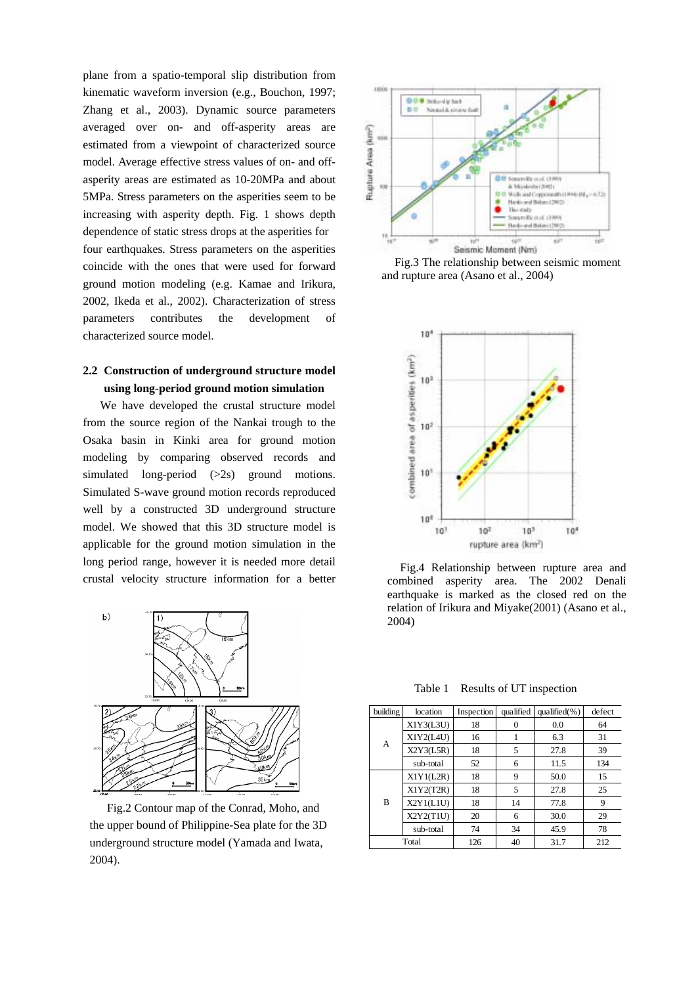plane from a spatio-temporal slip distribution from kinematic waveform inversion (e.g., Bouchon, 1997; Zhang et al., 2003). Dynamic source parameters averaged over on- and off-asperity areas are estimated from a viewpoint of characterized source model. Average effective stress values of on- and offasperity areas are estimated as 10-20MPa and about 5MPa. Stress parameters on the asperities seem to be increasing with asperity depth. Fig. 1 shows depth dependence of static stress drops at the asperities for four earthquakes. Stress parameters on the asperities coincide with the ones that were used for forward ground motion modeling (e.g. Kamae and Irikura, 2002, Ikeda et al., 2002). Characterization of stress parameters contributes the development of characterized source model.

# **2.2 Construction of underground structure model using long-period ground motion simulation**

We have developed the crustal structure model from the source region of the Nankai trough to the Osaka basin in Kinki area for ground motion modeling by comparing observed records and simulated long-period (>2s) ground motions. Simulated S-wave ground motion records reproduced well by a constructed 3D underground structure model. We showed that this 3D structure model is applicable for the ground motion simulation in the long period range, however it is needed more detail crustal velocity structure information for a better



Fig.2 Contour map of the Conrad, Moho, and the upper bound of Philippine-Sea plate for the 3D underground structure model (Yamada and Iwata, 2004).



Fig.3 The relationship between seismic moment and rupture area (Asano et al., 2004)



Fig.4 Relationship between rupture area and combined asperity area. The 2002 Denali earthquake is marked as the closed red on the relation of Irikura and Miyake(2001) (Asano et al., 2004)

Table 1 Results of UT inspection

| building | location  | Inspection | qualified | qualified $(\% )$ | defect |
|----------|-----------|------------|-----------|-------------------|--------|
|          | X1Y3(L3U) | 18         |           | 0.0               | 64     |
| A        | X1Y2(L4U) | 16         |           | 6.3               | 31     |
|          | X2Y3(L5R) | 18         | 5         | 27.8              | 39     |
|          | sub-total | 52         | 6         | 11.5              | 134    |
|          | X1Y1(L2R) | 18         | 9         | 50.0              | 15     |
|          | X1Y2(T2R) | 18         | 5         | 27.8              | 25     |
| B        | X2Y1(L1U) | 18         | 14        | 77.8              | 9      |
|          | X2Y2(T1U) | 20         | 6         | 30.0              | 29     |
|          | sub-total | 74         | 34        | 45.9              | 78     |
|          | Total     | 126        | 40        | 31.7              | 212    |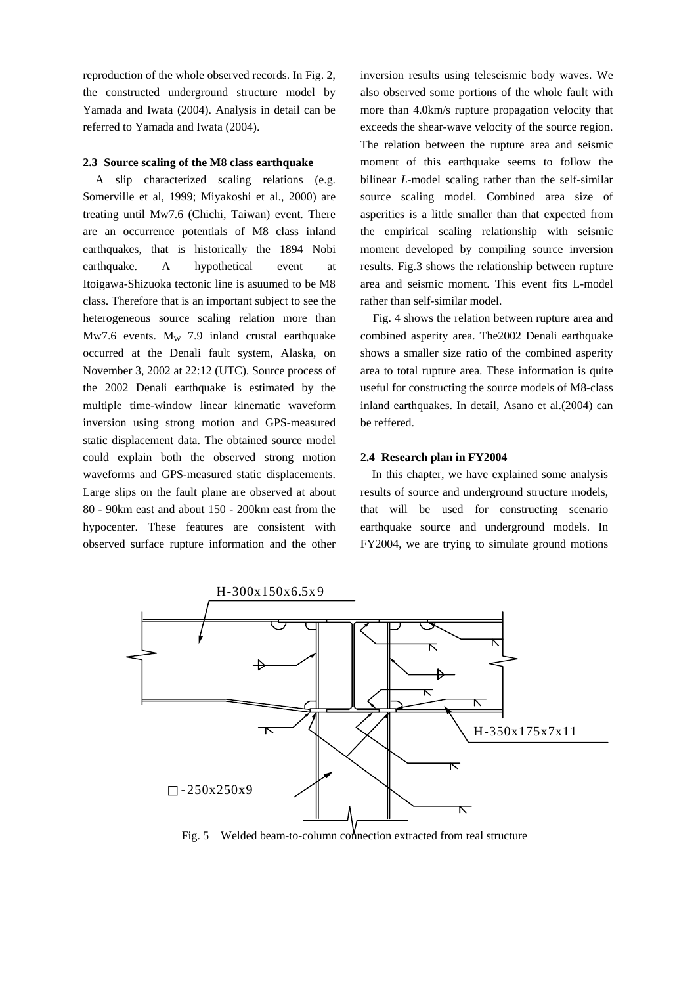reproduction of the whole observed records. In Fig. 2, the constructed underground structure model by Yamada and Iwata (2004). Analysis in detail can be referred to Yamada and Iwata (2004).

### **2.3 Source scaling of the M8 class earthquake**

A slip characterized scaling relations (e.g. Somerville et al, 1999; Miyakoshi et al., 2000) are treating until Mw7.6 (Chichi, Taiwan) event. There are an occurrence potentials of M8 class inland earthquakes, that is historically the 1894 Nobi earthquake. A hypothetical event at Itoigawa-Shizuoka tectonic line is asuumed to be M8 class. Therefore that is an important subject to see the heterogeneous source scaling relation more than Mw7.6 events.  $M_W$  7.9 inland crustal earthquake occurred at the Denali fault system, Alaska, on November 3, 2002 at 22:12 (UTC). Source process of the 2002 Denali earthquake is estimated by the multiple time-window linear kinematic waveform inversion using strong motion and GPS-measured static displacement data. The obtained source model could explain both the observed strong motion waveforms and GPS-measured static displacements. Large slips on the fault plane are observed at about 80 - 90km east and about 150 - 200km east from the hypocenter. These features are consistent with observed surface rupture information and the other inversion results using teleseismic body waves. We also observed some portions of the whole fault with more than 4.0km/s rupture propagation velocity that exceeds the shear-wave velocity of the source region. The relation between the rupture area and seismic moment of this earthquake seems to follow the bilinear *L*-model scaling rather than the self-similar source scaling model. Combined area size of asperities is a little smaller than that expected from the empirical scaling relationship with seismic moment developed by compiling source inversion results. Fig.3 shows the relationship between rupture area and seismic moment. This event fits L-model rather than self-similar model.

Fig. 4 shows the relation between rupture area and combined asperity area. The2002 Denali earthquake shows a smaller size ratio of the combined asperity area to total rupture area. These information is quite useful for constructing the source models of M8-class inland earthquakes. In detail, Asano et al.(2004) can be reffered.

### **2.4 Research plan in FY2004**

In this chapter, we have explained some analysis results of source and underground structure models, that will be used for constructing scenario earthquake source and underground models. In FY2004, we are trying to simulate ground motions



Fig. 5 Welded beam-to-column connection extracted from real structure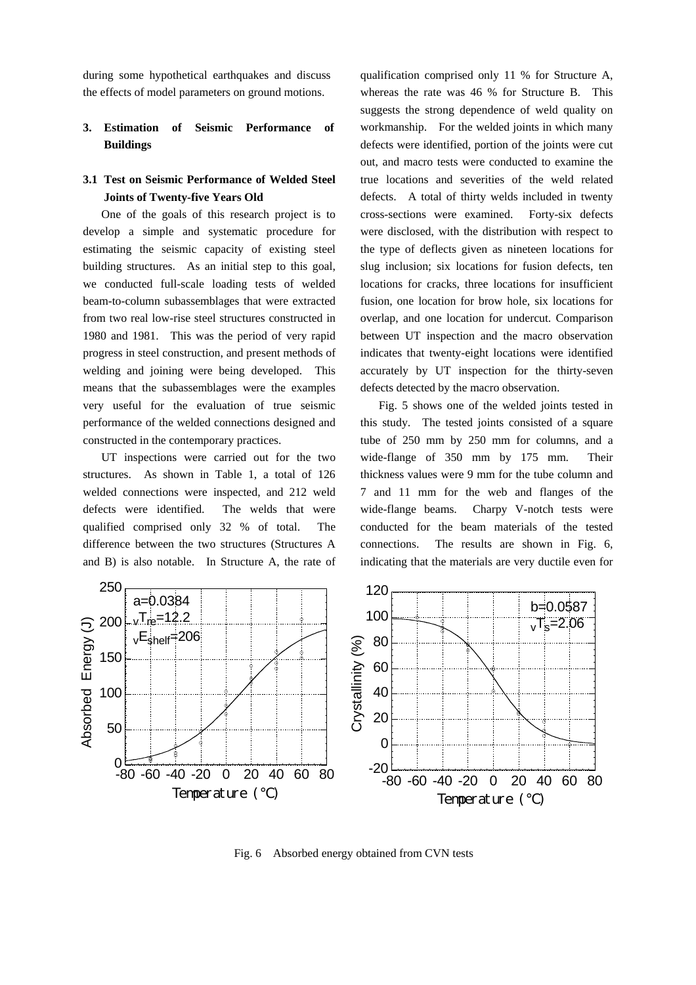during some hypothetical earthquakes and discuss the effects of model parameters on ground motions.

# **3. Estimation of Seismic Performance of Buildings**

## **3.1 Test on Seismic Performance of Welded Steel Joints of Twenty-five Years Old**

One of the goals of this research project is to develop a simple and systematic procedure for estimating the seismic capacity of existing steel building structures. As an initial step to this goal, we conducted full-scale loading tests of welded beam-to-column subassemblages that were extracted from two real low-rise steel structures constructed in 1980 and 1981. This was the period of very rapid progress in steel construction, and present methods of welding and joining were being developed. This means that the subassemblages were the examples very useful for the evaluation of true seismic performance of the welded connections designed and constructed in the contemporary practices.

UT inspections were carried out for the two structures. As shown in Table 1, a total of 126 welded connections were inspected, and 212 weld defects were identified. The welds that were qualified comprised only 32 % of total. The difference between the two structures (Structures A and B) is also notable. In Structure A, the rate of qualification comprised only 11 % for Structure A, whereas the rate was 46 % for Structure B. This suggests the strong dependence of weld quality on workmanship. For the welded joints in which many defects were identified, portion of the joints were cut out, and macro tests were conducted to examine the true locations and severities of the weld related defects. A total of thirty welds included in twenty cross-sections were examined. Forty-six defects were disclosed, with the distribution with respect to the type of deflects given as nineteen locations for slug inclusion; six locations for fusion defects, ten locations for cracks, three locations for insufficient fusion, one location for brow hole, six locations for overlap, and one location for undercut. Comparison between UT inspection and the macro observation indicates that twenty-eight locations were identified accurately by UT inspection for the thirty-seven defects detected by the macro observation.

Fig. 5 shows one of the welded joints tested in this study. The tested joints consisted of a square tube of 250 mm by 250 mm for columns, and a wide-flange of 350 mm by 175 mm. Their thickness values were 9 mm for the tube column and 7 and 11 mm for the web and flanges of the wide-flange beams. Charpy V-notch tests were conducted for the beam materials of the tested connections. The results are shown in Fig. 6, indicating that the materials are very ductile even for



Fig. 6 Absorbed energy obtained from CVN tests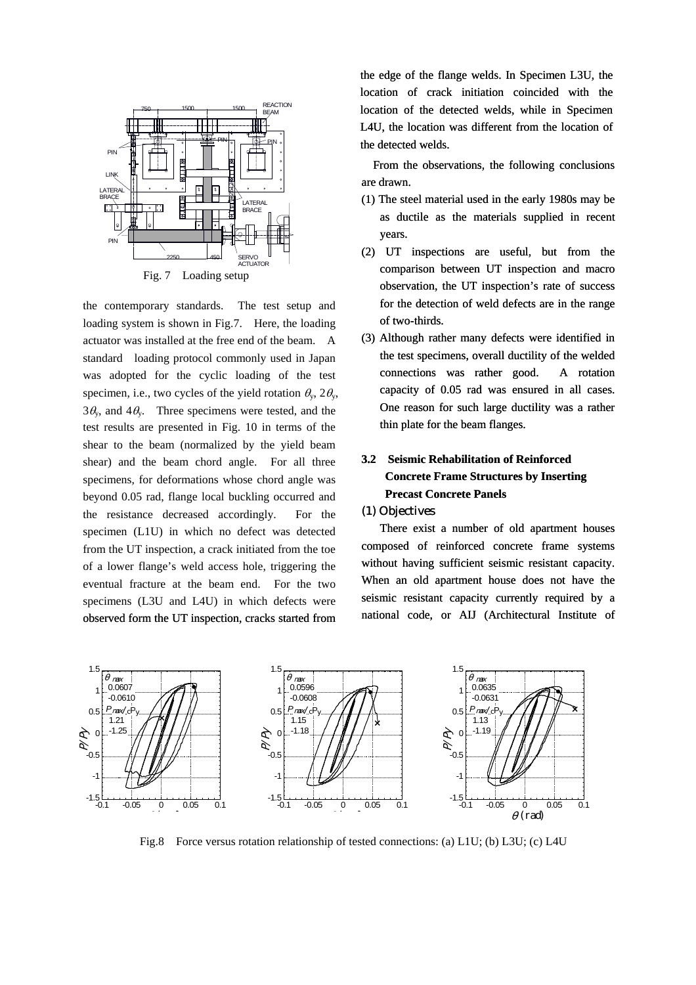

the contemporary standards. The test setup and loading system is shown in Fig.7. Here, the loading actuator was installed at the free end of the beam. A standard loading protocol commonly used in Japan was adopted for the cyclic loading of the test specimen, i.e., two cycles of the yield rotation  $\theta_{\rm v}$ ,  $2\theta_{\rm v}$ ,  $3\theta_{\rm v}$ , and  $4\theta_{\rm v}$ . Three specimens were tested, and the test results are presented in Fig. 10 in terms of the shear to the beam (normalized by the yield beam shear) and the beam chord angle. For all three specimens, for deformations whose chord angle was beyond 0.05 rad, flange local buckling occurred and the resistance decreased accordingly. For the specimen (L1U) in which no defect was detected from the UT inspection, a crack initiated from the toe of a lower flange's weld access hole, triggering the eventual fracture at the beam end. For the two specimens (L3U and L4U) in which defects were observed form the UT inspection, cracks started from

the edge of the flange welds. In Specimen L3U, the location of crack initiation coincided with the location of the detected welds, while in Specimen L4U, the location was different from the location of the detected welds.

From the observations, the following conclusions are drawn.

- (1) The steel material used in the early 1980s may be as ductile as the materials supplied in recent years.
- (2) UT inspections are useful, but from the comparison between UT inspection and macro observation, the UT inspection's rate of success for the detection of weld defects are in the range of two-thirds.
- (3) Although rather many defects were identified in the test specimens, overall ductility of the welded connections was rather good. A rotation capacity of 0.05 rad was ensured in all cases. One reason for such large ductility was a rather thin plate for the beam flanges.

# **3.2 Seismic Rehabilitation of Reinforced Concrete Frame Structures by Inserting Precast Concrete Panels**

### (1) Objectives

There exist a number of old apartment houses composed of reinforced concrete frame systems without having sufficient seismic resistant capacity. When an old apartment house does not have the seismic resistant capacity currently required by a national code, or AIJ (Architectural Institute of



Fig.8 Force versus rotation relationship of tested connections: (a) L1U; (b) L3U; (c) L4U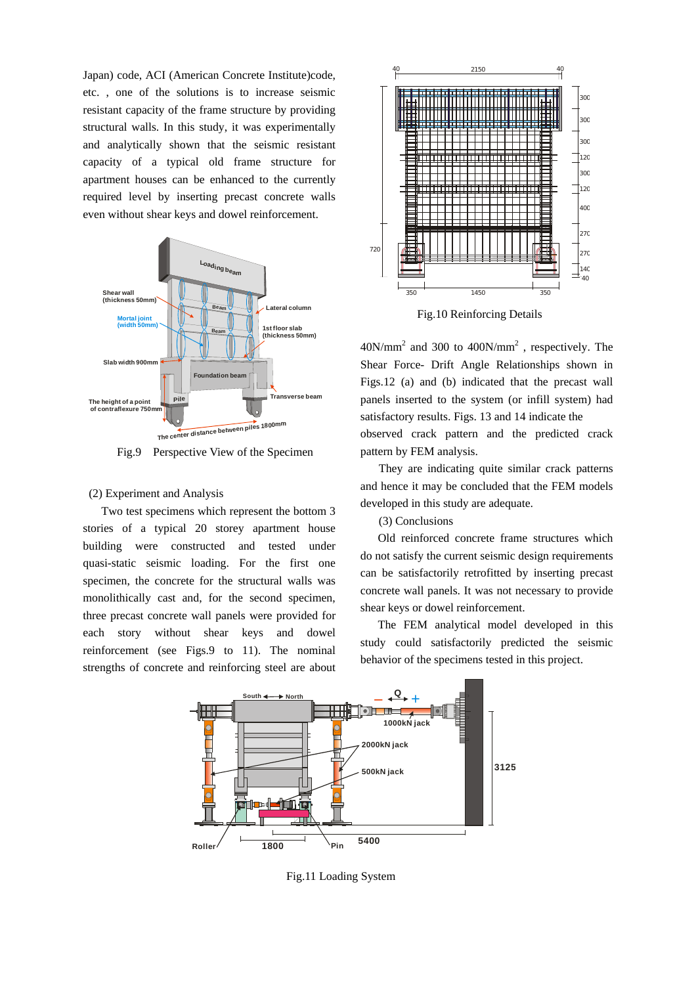Japan) code, ACI (American Concrete Institute)code, etc. , one of the solutions is to increase seismic resistant capacity of the frame structure by providing structural walls. In this study, it was experimentally and analytically shown that the seismic resistant capacity of a typical old frame structure for apartment houses can be enhanced to the currently required level by inserting precast concrete walls even without shear keys and dowel reinforcement.



Fig.9 Perspective View of the Specimen pattern by FEM analysis.

## (2) Experiment and Analysis

Two test specimens which represent the bottom 3 stories of a typical 20 storey apartment house building were constructed and tested under quasi-static seismic loading. For the first one specimen, the concrete for the structural walls was monolithically cast and, for the second specimen, three precast concrete wall panels were provided for each story without shear keys and dowel reinforcement (see Figs.9 to 11). The nominal strengths of concrete and reinforcing steel are about



Fig.10 Reinforcing Details

 $40N/mm^2$  and 300 to  $400N/mm^2$ , respectively. The Shear Force- Drift Angle Relationships shown in Figs.12 (a) and (b) indicated that the precast wall panels inserted to the system (or infill system) had satisfactory results. Figs. 13 and 14 indicate the observed crack pattern and the predicted crack

They are indicating quite similar crack patterns and hence it may be concluded that the FEM models developed in this study are adequate.

(3) Conclusions

Old reinforced concrete frame structures which do not satisfy the current seismic design requirements can be satisfactorily retrofitted by inserting precast concrete wall panels. It was not necessary to provide shear keys or dowel reinforcement.

The FEM analytical model developed in this study could satisfactorily predicted the seismic behavior of the specimens tested in this project.



Fig.11 Loading System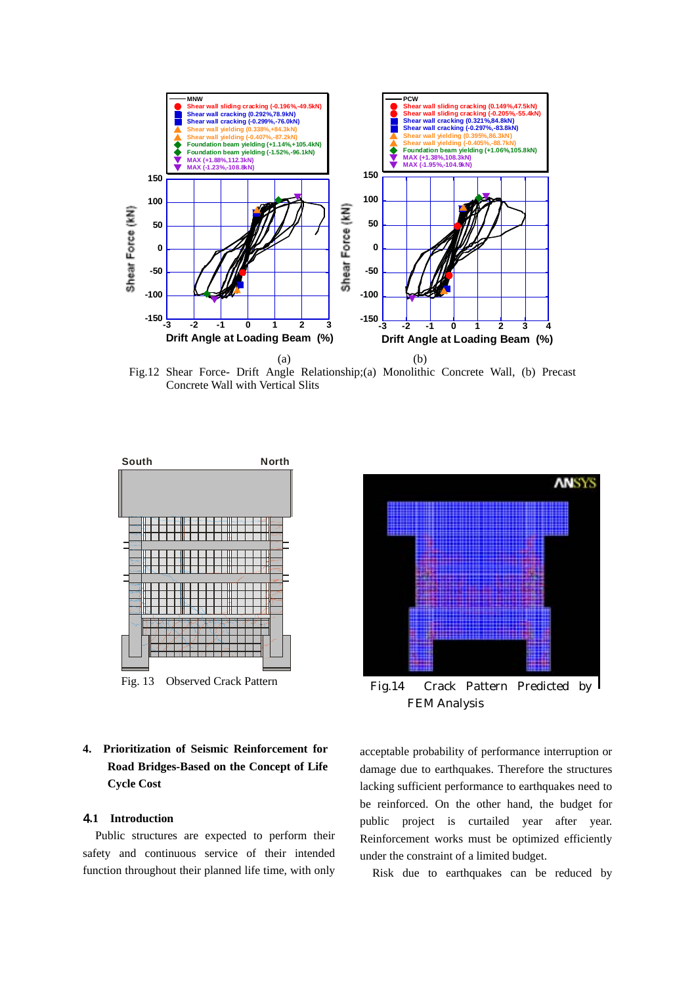

Fig.12 Shear Force- Drift Angle Relationship;(a) Monolithic Concrete Wall, (b) Precast Concrete Wall with Vertical Slits





FEM Analysis

# **4. Prioritization of Seismic Reinforcement for Road Bridges-Based on the Concept of Life Cycle Cost**

## 4**.1 Introduction**

Public structures are expected to perform their safety and continuous service of their intended function throughout their planned life time, with only

acceptable probability of performance interruption or damage due to earthquakes. Therefore the structures lacking sufficient performance to earthquakes need to be reinforced. On the other hand, the budget for public project is curtailed year after year. Reinforcement works must be optimized efficiently under the constraint of a limited budget.

Risk due to earthquakes can be reduced by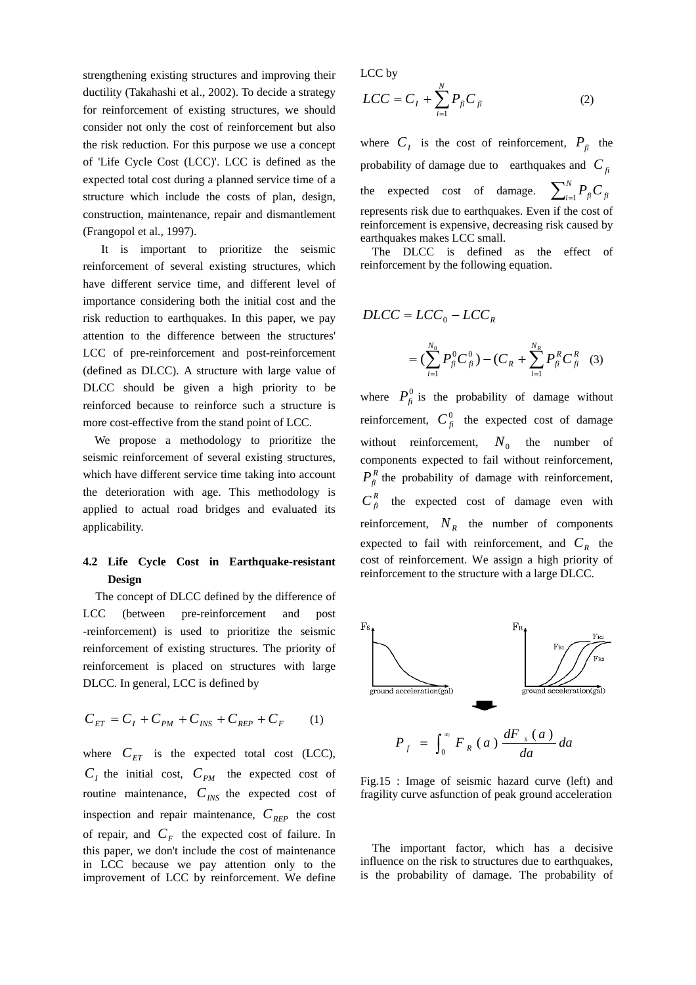strengthening existing structures and improving their ductility (Takahashi et al., 2002). To decide a strategy for reinforcement of existing structures, we should consider not only the cost of reinforcement but also the risk reduction. For this purpose we use a concept of 'Life Cycle Cost (LCC)'. LCC is defined as the expected total cost during a planned service time of a structure which include the costs of plan, design, construction, maintenance, repair and dismantlement (Frangopol et al., 1997).

It is important to prioritize the seismic reinforcement of several existing structures, which have different service time, and different level of importance considering both the initial cost and the risk reduction to earthquakes. In this paper, we pay attention to the difference between the structures' LCC of pre-reinforcement and post-reinforcement (defined as DLCC). A structure with large value of DLCC should be given a high priority to be reinforced because to reinforce such a structure is more cost-effective from the stand point of LCC.

We propose a methodology to prioritize the seismic reinforcement of several existing structures, which have different service time taking into account the deterioration with age. This methodology is applied to actual road bridges and evaluated its applicability.

# **4.2 Life Cycle Cost in Earthquake-resistant Design**

The concept of DLCC defined by the difference of LCC (between pre-reinforcement and post -reinforcement) is used to prioritize the seismic reinforcement of existing structures. The priority of reinforcement is placed on structures with large DLCC. In general, LCC is defined by

$$
C_{ET} = C_I + C_{PM} + C_{INS} + C_{REP} + C_F \tag{1}
$$

where  $C_{ET}$  is the expected total cost (LCC),  $C_I$  the initial cost,  $C_{PM}$  the expected cost of routine maintenance,  $C_{INS}$  the expected cost of inspection and repair maintenance,  $C_{\text{REP}}$  the cost of repair, and  $C_F$  the expected cost of failure. In this paper, we don't include the cost of maintenance in LCC because we pay attention only to the improvement of LCC by reinforcement. We define

LCC by

$$
LCC = C_I + \sum_{i=1}^{N} P_{fi} C_{fi}
$$
 (2)

where  $C_I$  is the cost of reinforcement,  $P_{fi}$  the probability of damage due to earthquakes and  $C_{fi}$ the expected cost of damage.  $\sum_{i=1}^{N} P_{fi} C_{fi}$ represents risk due to earthquakes. Even if the cost of reinforcement is expensive, decreasing risk caused by earthquakes makes LCC small. *i*

The DLCC is defined as the effect of reinforcement by the following equation.

$$
DLCC = LCC_0 - LCC_R
$$
  
=  $(\sum_{i=1}^{N_0} P_{fi}^0 C_{fi}^0) - (C_R + \sum_{i=1}^{N_R} P_{fi}^R C_{fi}^R$  (3)

where  $P_{fi}^0$  is the probability of damage without reinforcement,  $C_{fi}^0$  the expected cost of damage without reinforcement,  $N_0$  the number of components expected to fail without reinforcement,  $P_f^R$  the probability of damage with reinforcement,  $C_{fi}^R$  the expected cost of damage even with reinforcement,  $N_R$  the number of components expected to fail with reinforcement, and  $C_R$  the cost of reinforcement. We assign a high priority of reinforcement to the structure with a large DLCC.



Fig.15 : Image of seismic hazard curve (left) and fragility curve asfunction of peak ground acceleration

The important factor, which has a decisive influence on the risk to structures due to earthquakes, is the probability of damage. The probability of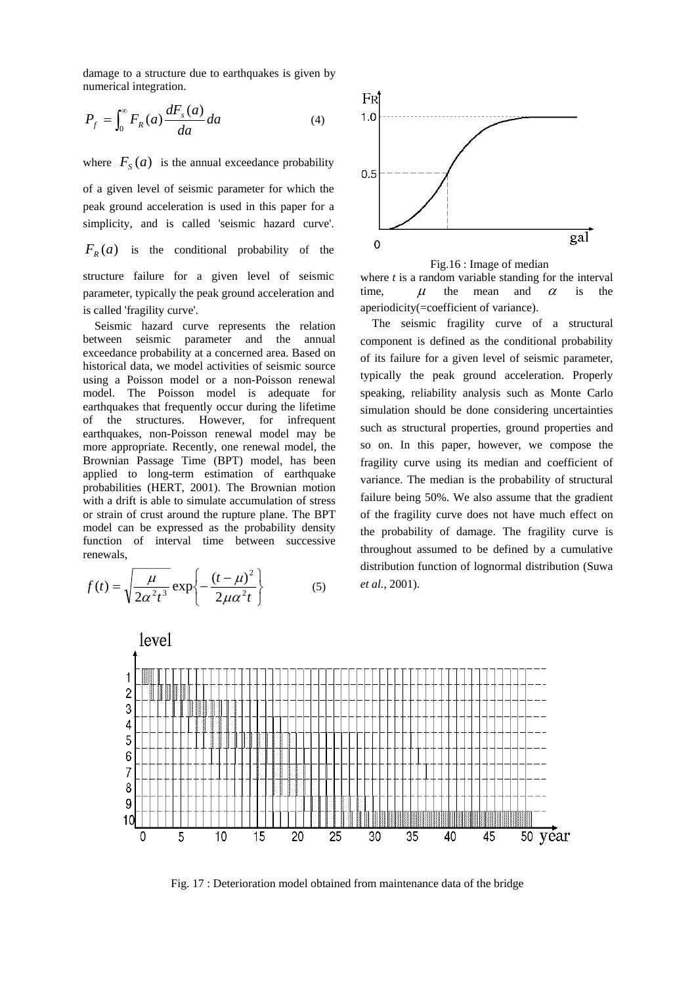damage to a structure due to earthquakes is given by numerical integration.

$$
P_f = \int_0^\infty F_R(a) \frac{dF_s(a)}{da} da \tag{4}
$$

where  $F_s(a)$  is the annual exceedance probability

of a given level of seismic parameter for which the peak ground acceleration is used in this paper for a simplicity, and is called 'seismic hazard curve'.

 $F_R(a)$  is the conditional probability of the structure failure for a given level of seismic

parameter, typically the peak ground acceleration and is called 'fragility curve'.

Seismic hazard curve represents the relation between seismic parameter and the annual exceedance probability at a concerned area. Based on historical data, we model activities of seismic source using a Poisson model or a non-Poisson renewal model. The Poisson model is adequate for earthquakes that frequently occur during the lifetime of the structures. However, for infrequent earthquakes, non-Poisson renewal model may be more appropriate. Recently, one renewal model, the Brownian Passage Time (BPT) model, has been applied to long-term estimation of earthquake probabilities (HERT, 2001). The Brownian motion with a drift is able to simulate accumulation of stress or strain of crust around the rupture plane. The BPT model can be expressed as the probability density function of interval time between successive renewals,

$$
f(t) = \sqrt{\frac{\mu}{2\alpha^2 t^3}} \exp\left\{-\frac{(t-\mu)^2}{2\mu\alpha^2 t}\right\}
$$
 (5)





where *t* is a random variable standing for the interval time,  $\mu$  the mean and  $\alpha$  is the aperiodicity(=coefficient of variance).

The seismic fragility curve of a structural component is defined as the conditional probability of its failure for a given level of seismic parameter, typically the peak ground acceleration. Properly speaking, reliability analysis such as Monte Carlo simulation should be done considering uncertainties such as structural properties, ground properties and so on. In this paper, however, we compose the fragility curve using its median and coefficient of variance. The median is the probability of structural failure being 50%. We also assume that the gradient of the fragility curve does not have much effect on the probability of damage. The fragility curve is throughout assumed to be defined by a cumulative distribution function of lognormal distribution (Suwa *et al.*, 2001).



Fig. 17 : Deterioration model obtained from maintenance data of the bridge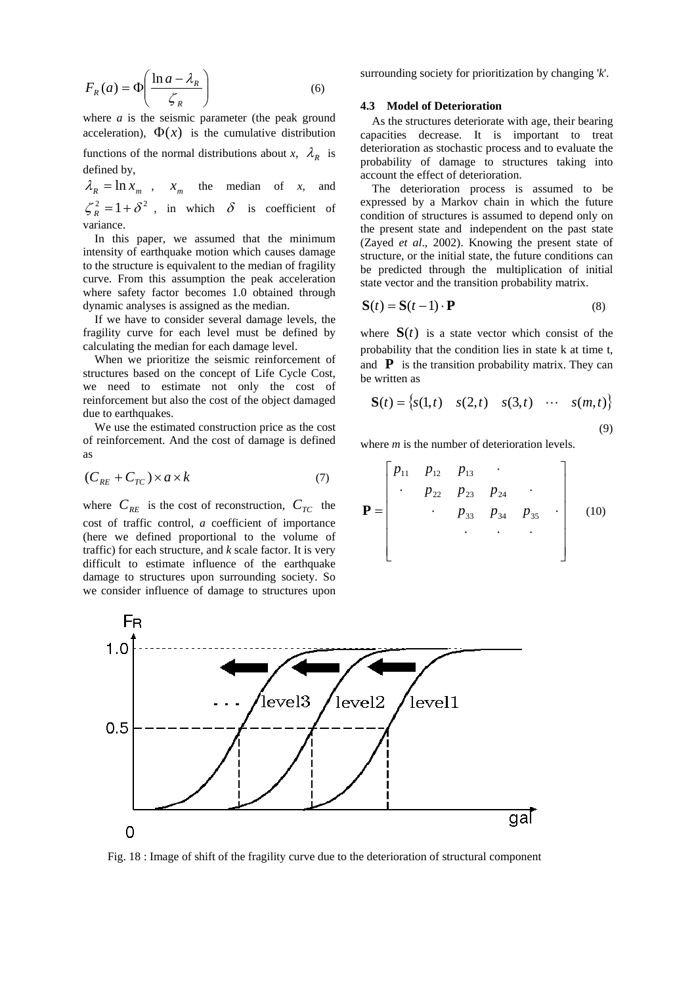$$
F_R(a) = \Phi\left(\frac{\ln a - \lambda_R}{\zeta_R}\right) \tag{6}
$$

where *a* is the seismic parameter (the peak ground acceleration),  $\Phi(x)$  is the cumulative distribution functions of the normal distributions about *x*,  $\lambda_R$  is defined by,

 $\lambda_R = \ln x_m$ ,  $x_m$  the median of *x*, and  $\zeta_R^2 = 1 + \delta^2$ , in which  $\delta$  is coefficient of variance.

In this paper, we assumed that the minimum intensity of earthquake motion which causes damage to the structure is equivalent to the median of fragility curve. From this assumption the peak acceleration where safety factor becomes 1.0 obtained through dynamic analyses is assigned as the median.

If we have to consider several damage levels, the fragility curve for each level must be defined by calculating the median for each damage level.

When we prioritize the seismic reinforcement of structures based on the concept of Life Cycle Cost, we need to estimate not only the cost of reinforcement but also the cost of the object damaged due to earthquakes.

We use the estimated construction price as the cost of reinforcement. And the cost of damage is defined as

$$
(C_{_{RE}} + C_{_{TC}}) \times a \times k \tag{7}
$$

where  $C_{RE}$  is the cost of reconstruction,  $C_{TC}$  the cost of traffic control, *a* coefficient of importance (here we defined proportional to the volume of traffic) for each structure, and *k* scale factor. It is very difficult to estimate influence of the earthquake damage to structures upon surrounding society. So we consider influence of damage to structures upon

surrounding society for prioritization by changing '*k*'.

#### **.3 Model of Deterioration 4**

As the structures deteriorate with age, their bearing ca pacities decrease. It is important to treat deterioration as stochastic process and to evaluate the probability of damage to structures taking into account the effect of deterioration.

The deterioration process is assumed to be expressed by a Markov chain in which the future condition of structures is assumed to depend only on the present state and independent on the past state (Zayed *et al*., 2002). Knowing the present state of structure, or the initial state, the future conditions can be predicted through the multiplication of initial state vector and the transition probability matrix.

$$
\mathbf{S}(t) = \mathbf{S}(t-1) \cdot \mathbf{P} \tag{8}
$$

where  $S(t)$  is a state vector which consist of the probability that the condition lies in state k at time t, and  $\bf{P}$  is the transition probability matrix. They can be written as

$$
\mathbf{S}(t) = \begin{cases} s(1,t) & s(2,t) & s(3,t) & \cdots & s(m,t) \end{cases} \tag{9}
$$

where *m* is the number of deterioration levels.

$$
\mathbf{P} = \begin{bmatrix} p_{11} & p_{12} & p_{13} & \cdots & & \\ \vdots & p_{22} & p_{23} & p_{24} & \cdots & \\ & \vdots & p_{33} & p_{34} & p_{35} & \cdots \\ & & \vdots & \ddots & \ddots & \vdots \\ & & & \ddots & \ddots & \ddots \end{bmatrix} \quad (10)
$$



Fig. 18 : Image of shift of the fragility curve due to the deterioration of structural component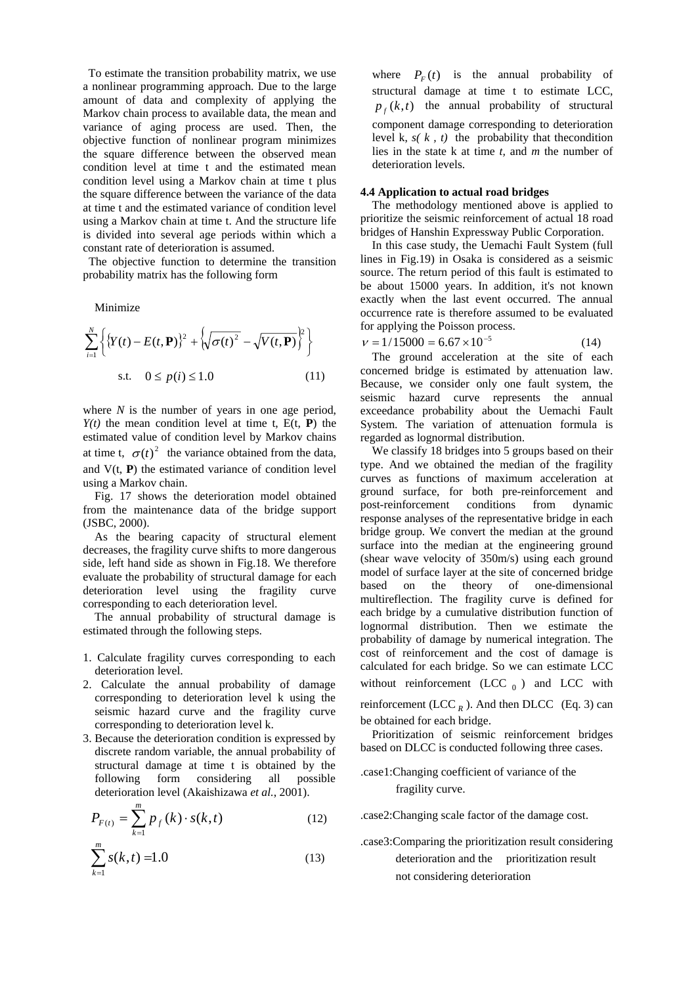To estimate the transition probability matrix, we use a nonlinear programming approach. Due to the large amount of data and complexity of applying the Markov chain process to available data, the mean and variance of aging process are used. Then, the objective function of nonlinear program minimizes the square difference between the observed mean condition level at time t and the estimated mean condition level using a Markov chain at time t plus the square difference between the variance of the data at time t and the estimated variance of condition level using a Markov chain at time t. And the structure life is divided into several age periods within which a constant rate of deterioration is assumed.

The objective function to determine the transition p robability matrix has the following form

Minimize

$$
\sum_{i=1}^{N} \left\{ \{ Y(t) - E(t, \mathbf{P}) \}^{2} + \left\{ \sqrt{\sigma(t)^{2}} - \sqrt{V(t, \mathbf{P})} \right\}^{2} \right\}
$$
  
s.t.  $0 \le p(i) \le 1.0$  (11)

where  $N$  is the number of years in one age period, and  $V(t, P)$  the estimated variance of condition level  $Y(t)$  the mean condition level at time t,  $E(t, P)$  the estimated value of condition level by Markov chains at time t,  $\sigma(t)^2$  the variance obtained from the data, using a Markov chain.

Fig. 17 shows the deterioration model obtained fr om the maintenance data of the bridge support (JSBC, 2000).

As the bearing capacity of structural element de creases, the fragility curve shifts to more dangerous side, left hand side as shown in Fig.18. We therefore evaluate the probability of structural damage for each deterioration level using the fragility curve corresponding to each deterioration level.

The annual probability of structural damage is estimated through the following steps.

- . Calculate fragility curves corresponding to each 1 deterioration level.
- 2. Calculate the annual probability of damage corresponding to deterioration level k using the seismic hazard curve and the fragility curve corresponding to deterioration level k.
- 3. Because the deterioration condition is expressed by discrete random variable, the annual probability of structural damage at time t is obtained by the following form considering all possible deterioration level (Akaishizawa *et al.*, 2001).

$$
P_{F(t)} = \sum_{k=1}^{m} p_f(k) \cdot s(k, t)
$$
 (12)

$$
\sum_{k=1}^{m} s(k,t) = 1.0
$$
 (13)

where  $P_F(t)$  is the annual probability of structural damage at time t to estimate LCC,  $p_f(k,t)$  the annual probability of structural level  $k$ ,  $s(k, t)$  the probability that the condition lies in th e state k at time *t,* and *m* the number of component damage corresponding to deterioration deterioration levels.

### **4. 4 Application to actual road bridges**

The methodology mentioned above is applied to prioritize the seismic reinforcement of actual 18 road bridges of Hanshin Expressway Public Corporation.

be about 15000 years. In addition, it's not known In this case study, the Uemachi Fault System (full lines in Fig.19) in Osaka is considered as a seismic source. The return period of this fault is estimated to exactly when the last event occurred. The annual occurrence rate is therefore assumed to be evaluated for applying the Poisson process.

 $v = 1/15000 = 6.67 \times 10^{-5}$  (14)

The ground acceleration at the site of each concerned bridge is estimated by attenuation law. Because, we consider onl y one fault system, the se ismic hazard curve represents the annual exceedance probability about the Uemachi Fault System. The variation of attenuation formula is regarded as lognormal distribution.

curves as functions of maximum acceleration at gr ound surface, for both pre-reinforcement and We classify 18 bridges into 5 groups based on their type. And we obtained the median of the fragility post-reinforcement conditions from dynamic response analyses of the representative bridge in each bridge group. We convert the median at the ground surface into the median at the engineering ground (shear wave velocity of 350m/s) using each ground model of surface layer at the site of concerned bridge based on the theory of one-dimensional multireflection. The fragility curve is defined for each bridge by a cumulative distribution function of lognormal distribution. Then we estimate the probability of damage by numerical integration. The cost of reinforcement and the cost of damage is calculated for each bridge. So we can estimate LCC without reinforcement (LCC  $_0$ ) and LCC with reinforcement (LCC  $_R$ ). And then DLCC (Eq. 3) can be obtained for each bridge.

Prioritization of seismic reinforcement bridges based on DLCC is conducted following three cases.

## .c ase1:Changing coefficient of variance of the fragility curve.

.case2:Changing scale factor of the damage cost.

.case3:Comparing the prioritization result considering not considering deterioration deterioration and the prioritization result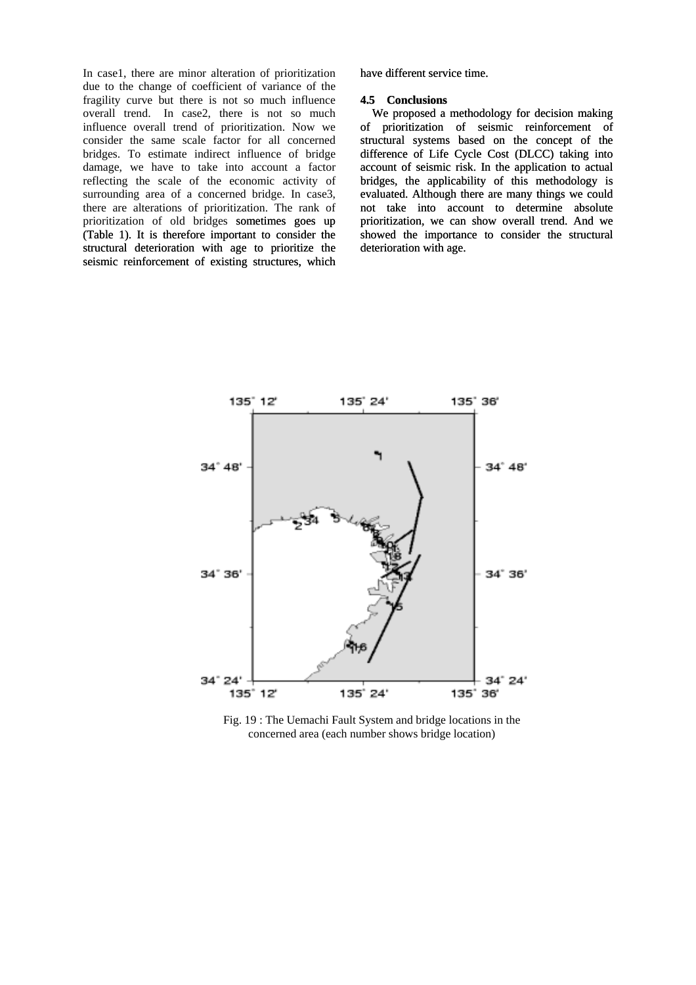In case1, there are minor alteration of prioritization due to the change of coefficient of variance of the fragility curve but there is not so much influence overall trend. In case2, there is not so much We proposed a methodology for decision making influence overall trend of prioritization. Now we consider the same scale factor for all concerned bridges. To estimate indirect influence of bridge damage, we have to take into account a factor reflecting the scale of the economic activity of surrounding area of a concerned bridge. In case3, there are alterations of prioritization. The rank of prioritization of old bridges sometimes goes up (Table 1). It is therefore important to consider the structural deterioration with age to prioritize the seismic reinforcement of existing structures, which

have different service time.

#### **4.5 Conclusions**

of prioritization of seismic reinforcement of str uctural systems based on the concept of the difference of Life Cycle Cost (DLCC) taking into account of seismic risk. In the application to actual bridges, the applicability of this methodology is evaluated. Although there are many things we could not take into account to determine absolute prioritization, we can show overall trend. And we showed the importance to consider the structural deterioration with age.



Fig. 19 : The Uemachi Fault System and bridge locations in the concerned area (each number shows bridge location)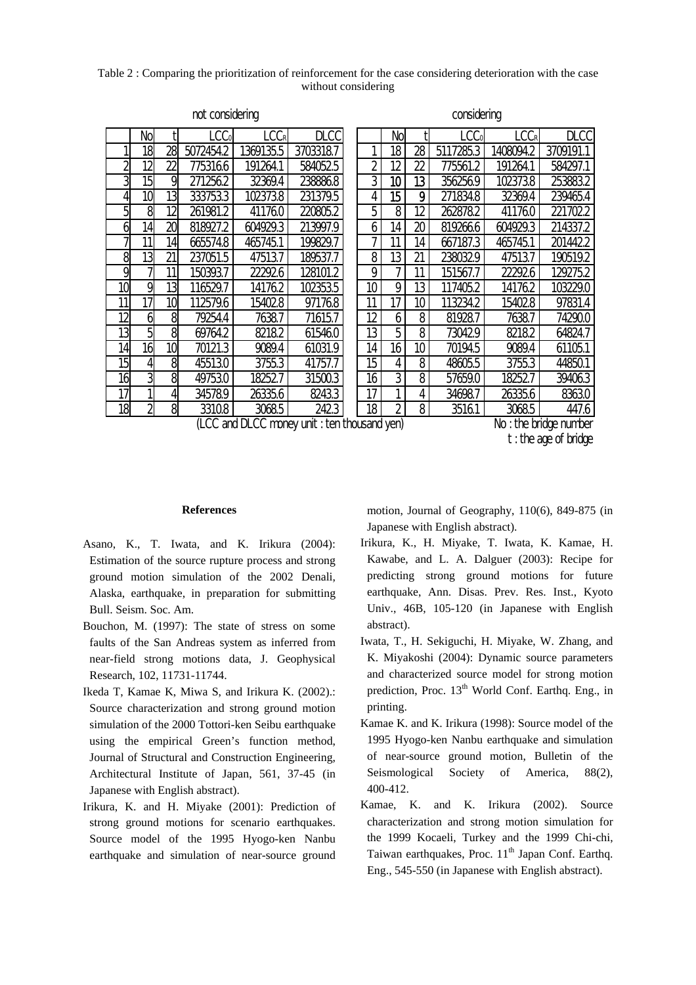Table 2 : Comparing the prioritization of reinforcement for the case considering deterioration with the case without considering

|                | No |                | $\mathsf{CC}_0$ | LCCR      | <b>DLCC</b> |    | No              |    | $\mathsf{LCC}_0$ | LCC <sub>R</sub> | <b>DLCC</b> |
|----------------|----|----------------|-----------------|-----------|-------------|----|-----------------|----|------------------|------------------|-------------|
|                | 18 | 28             | 5072454.2       | 1369135.5 | 3703318.7   |    | 18              | 28 | 17285.3<br>51    | 1408094.2        | 3709191.1   |
| $\overline{2}$ | 12 | $\overline{2}$ | 7753166         | 191264.1  | 5840525     | 2  | 12              | 22 | 775561.2         | 191264.1         | 584297.1    |
| 3              | 15 | 9              | 2712562         | 32369.4   | 238868      | 3  | 10              | 13 | 3562569          | 1023738          | 253883.2    |
| 4              | 10 | 13             | 333753.3        | 1023738   | 231379.5    | 4  | 15              | 9  | 271834.8         | 32369.4          | 239465.4    |
| 5              | 8  | 12             | 261981.2        | 411760    | 220805.2    | 5  | 8               | 12 | 262878.2         | 411760           | 221702.2    |
| 6              | 14 | 20             | 818927.2        | 604929.3  | 213997.9    | 6  | 14              | 20 | 8192666          | 604929.3         | 214337.2    |
| 7              | 11 | 14             | 665574.8        | 465745.1  | 199829.7    |    | 11              | 14 | 667187.3         | 465745.1         | 2014422     |
| 8              | 13 | 21             | 237051.5        | 475137    | 189537.7    | 8  | 13              | 21 | 2380329          | 475137           | 190519.2    |
| 9              |    | 11             | 150393.7        | 222926    | 128101.2    | 9  |                 | 11 | 151567.7         | 222926           | 129275.2    |
| 10             | 9  | 13             | 116529.7        | 141762    | 102353.5    | 10 | 9               | 13 | 117405.2         | 141762           | 103229.0    |
| 11             | 17 | 10             | 112579.6        | 154028    | 971768      | 11 | 17              | 10 | 113234.2         | 154028           | 97831.4     |
| 12             | 6  | 8              | 79254.4         | 76387     | 71615.7     | 12 | 6               | 8  | 819287           | 76387            | 74290.0     |
| 13             | 5  | 8              | 69764.2         | 82182     | 615460      | 13 | 5               | 8  | 730429           | 82182            | 64824.7     |
| 14             | 16 | 10             | 70121.3         | 9089.4    | 61031.9     | 14 | 16 <sub>1</sub> | 10 | 70194.5          | 9089.4           | 611051      |
| 15             | 4  | 8              | 455130          | 3755.3    | 41757.7     | 15 | 4               | 8  | 48605.5          | 3755.3           | 44850.1     |
| 16             | 3  | 8              | 497530          | 182527    | 315003      | 16 | 3               | 8  | 57659.0          | 182527           | 394063      |
| 17             |    | 4              | 345789          | 26335.6   | 8243.3      | 17 |                 | 4  | 34698.7          | 26335.6          | 83630       |
| 18             | 2  | 8              | 33108           | 30685     | 2423        | 18 | $\overline{2}$  | 8  | 35161            | 30685            | 447.6       |

not considering considering considering considering considering

(LCC and DLCC money unit : ten thousand yen) No : the bridge number

### **References**

- Asano, K., T. Iwata, and K. Irikura (2004): Estimation of the source rupture process and strong ground motion simulation of the 2002 Denali, Alaska, earthquake, in preparation for submitting Bull. Seism. Soc. Am.
- B ouchon, M. (1997): The state of stress on some faults of the San Andreas system as inferred from near-field strong motions data, J. Geophysical Research, 102, 11731-11744.
- I keda T, Kamae K, Miwa S, and Irikura K. (2002).: Source characterization and strong ground motion simulation of the 2000 Tottori-ken Seibu earthquake using the empirical Green's function method, Journal of Structural and Construction Engineering, Architectural Institute of Japan, 561, 37-45 (in Japanese with English abstract).
- I rikura, K. and H. Miyake (2001): Prediction of strong ground motions for scenario earthquakes. Source model of the 1995 Hyogo-ken Nanbu earthquake and simulation of near-source ground

motion, Journal of Geography, 110(6), 849-875 (in Japanese with English abstract).

- I rikura, K., H. Miyake, T. Iwata, K. Kamae, H. predicting strong ground motions for future Kawabe, and L. A. Dalguer (2003): Recipe for earthquake, Ann. Disas. Prev. Res. Inst., Kyoto Univ., 46B, 105-120 (in Japanese with English abstract).
- I wata, T., H. Sekiguchi, H. Miyake, W. Zhang, and and characterized source model for strong motion K. Miyakoshi (2004): Dynamic source parameters prediction, Proc. 13<sup>th</sup> World Conf. Earthq. Eng., in printing.
- K amae K. and K. Irikura (1998): Source model of the of near-source ground motion, Bulletin of the 1995 Hyogo-ken Nanbu earthquake and simulation Seismological Society of America, 88(2), 400-412.
- K amae, K. and K. Irikura (2002). Source the 1999 Kocaeli, Turkey and the 1999 Chi-chi, characterization and strong motion simulation for Taiwan earthquakes, Proc.  $11<sup>th</sup>$  Japan Conf. Earthq. Eng., 545-550 (in Japanese with English abstract).

t : the age of bridge